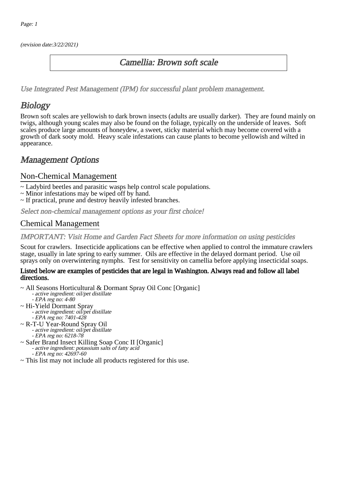(revision date:3/22/2021)

## Camellia: Brown soft scale

[Use Integrated Pest Management \(IPM\) for successful plant problem management.](http://pep.wsu.edu/Home_Garden/H_G_Pesticide_info/urban_Integrated_Pest_Managmen/)

# **Biology**

Brown soft scales are yellowish to dark brown insects (adults are usually darker). They are found mainly on twigs, although young scales may also be found on the foliage, typically on the underside of leaves. Soft scales produce large amounts of honeydew, a sweet, sticky material which may become covered with a growth of dark sooty mold. Heavy scale infestations can cause plants to become yellowish and wilted in appearance.

## Management Options

#### Non-Chemical Management

- ~ Ladybird beetles and parasitic wasps help control scale populations.
- ~ Minor infestations may be wiped off by hand.
- ~ If practical, prune and destroy heavily infested branches.

Select non-chemical management options as your first choice!

### Chemical Management

#### IMPORTANT: [Visit Home and Garden Fact Sheets for more information on using pesticides](http://pep.wsu.edu/Home_Garden/H_G_Pesticide_info/)

Scout for crawlers. Insecticide applications can be effective when applied to control the immature crawlers stage, usually in late spring to early summer. Oils are effective in the delayed dormant period. Use oil sprays only on overwintering nymphs. Test for sensitivity on camellia before applying insecticidal soaps.

#### Listed below are examples of pesticides that are legal in Washington. Always read and follow all label directions.

- ~ All Seasons Horticultural & Dormant Spray Oil Conc [Organic] - active ingredient: oil/pet distillate - EPA reg no: 4-80
- ~ Hi-Yield Dormant Spray - active ingredient: oil/pet distillate - EPA reg no: 7401-428
- ~ R-T-U Year-Round Spray Oil - active ingredient: oil/pet distillate
- EPA reg no: 6218-78 ~ Safer Brand Insect Killing Soap Conc II [Organic]
	- active ingredient: potassium salts of fatty acid
	- EPA reg no: 42697-60
- ~ This list may not include all products registered for this use.